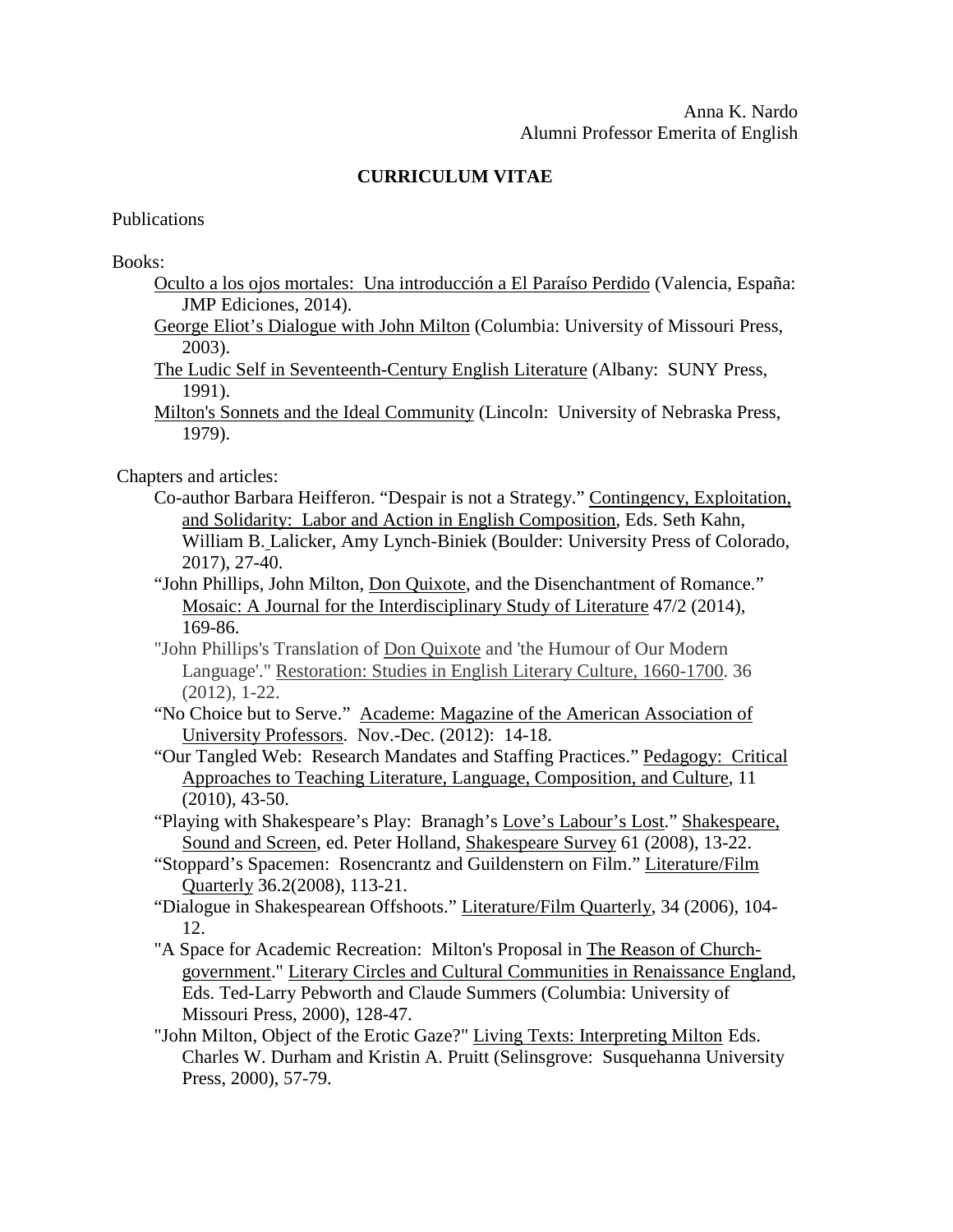## **CURRICULUM VITAE**

Publications

Books:

- Oculto a los ojos mortales: Una introducción a El Paraíso Perdido (Valencia, España: JMP Ediciones, 2014).
- George Eliot's Dialogue with John Milton (Columbia: University of Missouri Press, 2003).
- The Ludic Self in Seventeenth-Century English Literature (Albany: SUNY Press, 1991).
- Milton's Sonnets and the Ideal Community (Lincoln: University of Nebraska Press, 1979).

Chapters and articles:

- Co-author Barbara Heifferon. "Despair is not a Strategy." Contingency, Exploitation, and Solidarity: Labor and Action in English Composition, Eds. Seth Kahn, William B. Lalicker, Amy Lynch-Biniek (Boulder: University Press of Colorado, 2017), 27-40.
- "John Phillips, John Milton, Don Quixote, and the Disenchantment of Romance." Mosaic: A Journal for the Interdisciplinary Study of Literature 47/2 (2014), 169-86.
- "John Phillips's Translation of Don Quixote and 'the Humour of Our Modern Language'." Restoration: Studies in English Literary Culture, 1660-1700. 36 (2012), 1-22.
- "No Choice but to Serve." Academe: Magazine of the American Association of University Professors. Nov.-Dec. (2012): 14-18.
- "Our Tangled Web: Research Mandates and Staffing Practices." Pedagogy: Critical Approaches to Teaching Literature, Language, Composition, and Culture, 11 (2010), 43-50.
- "Playing with Shakespeare's Play: Branagh's Love's Labour's Lost." Shakespeare, Sound and Screen, ed. Peter Holland, Shakespeare Survey 61 (2008), 13-22.
- "Stoppard's Spacemen: Rosencrantz and Guildenstern on Film." Literature/Film Quarterly 36.2(2008), 113-21.
- "Dialogue in Shakespearean Offshoots." Literature/Film Quarterly, 34 (2006), 104- 12.
- "A Space for Academic Recreation: Milton's Proposal in The Reason of Churchgovernment." Literary Circles and Cultural Communities in Renaissance England, Eds. Ted-Larry Pebworth and Claude Summers (Columbia: University of Missouri Press, 2000), 128-47.
- "John Milton, Object of the Erotic Gaze?" Living Texts: Interpreting Milton Eds. Charles W. Durham and Kristin A. Pruitt (Selinsgrove: Susquehanna University Press, 2000), 57-79.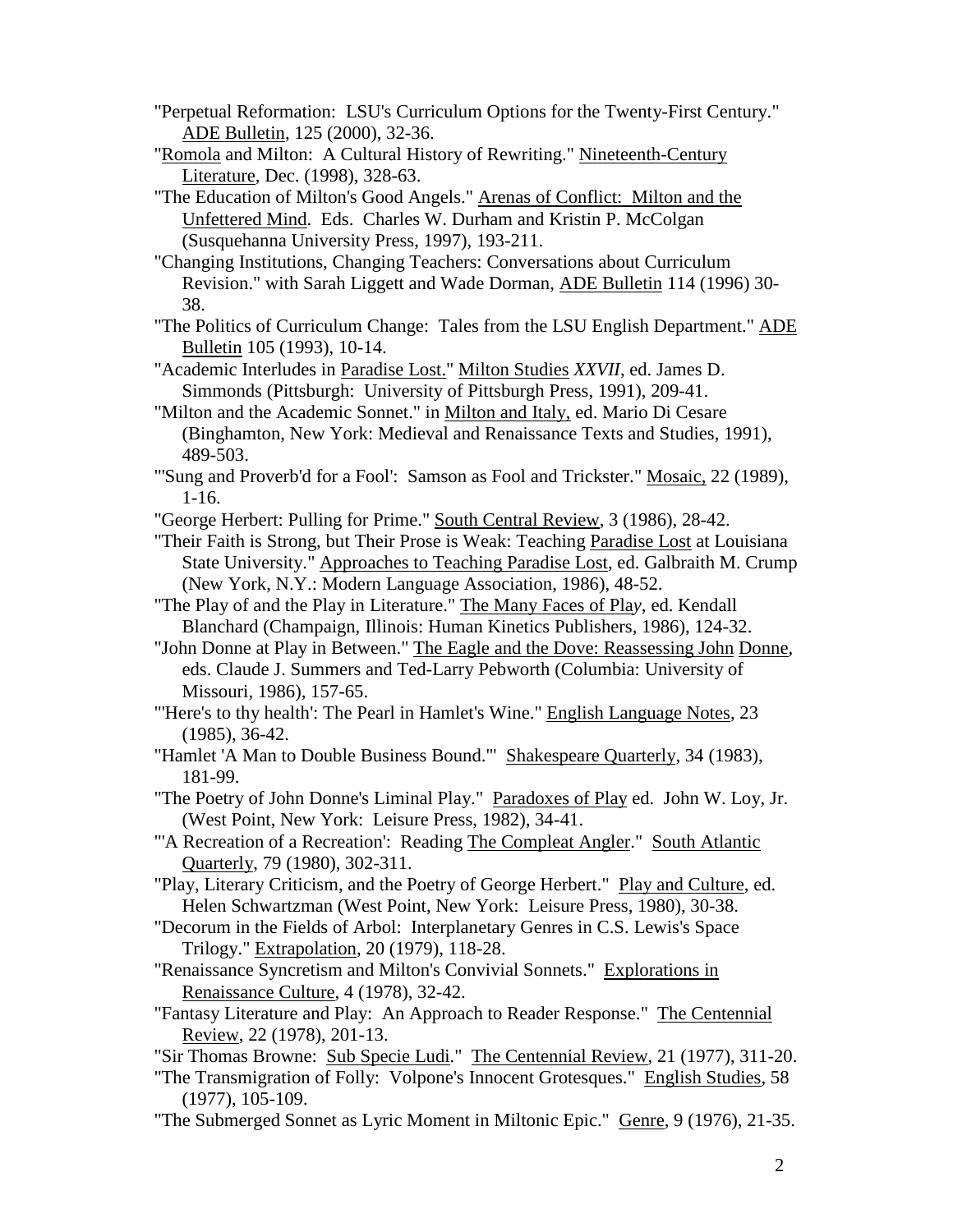- "Perpetual Reformation: LSU's Curriculum Options for the Twenty-First Century." ADE Bulletin, 125 (2000), 32-36.
- "Romola and Milton: A Cultural History of Rewriting." Nineteenth-Century Literature, Dec. (1998), 328-63.
- "The Education of Milton's Good Angels." Arenas of Conflict: Milton and the Unfettered Mind. Eds. Charles W. Durham and Kristin P. McColgan (Susquehanna University Press, 1997), 193-211.
- "Changing Institutions, Changing Teachers: Conversations about Curriculum Revision." with Sarah Liggett and Wade Dorman, ADE Bulletin 114 (1996) 30- 38.
- "The Politics of Curriculum Change: Tales from the LSU English Department." ADE Bulletin 105 (1993), 10-14.
- "Academic Interludes in Paradise Lost." Milton Studies *XXVII*, ed. James D. Simmonds (Pittsburgh: University of Pittsburgh Press, 1991), 209-41.
- "Milton and the Academic Sonnet." in Milton and Italy, ed. Mario Di Cesare (Binghamton, New York: Medieval and Renaissance Texts and Studies, 1991), 489-503.
- "'Sung and Proverb'd for a Fool': Samson as Fool and Trickster." Mosaic, 22 (1989), 1-16.
- "George Herbert: Pulling for Prime." South Central Review, 3 (1986), 28-42.
- "Their Faith is Strong, but Their Prose is Weak: Teaching Paradise Lost at Louisiana State University." Approaches to Teaching Paradise Lost, ed. Galbraith M. Crump (New York, N.Y.: Modern Language Association, 1986), 48-52.
- "The Play of and the Play in Literature." The Many Faces of Pla*y*, ed. Kendall Blanchard (Champaign, Illinois: Human Kinetics Publishers, 1986), 124-32.
- "John Donne at Play in Between." The Eagle and the Dove: Reassessing John Donne, eds. Claude J. Summers and Ted-Larry Pebworth (Columbia: University of Missouri, 1986), 157-65.
- "'Here's to thy health': The Pearl in Hamlet's Wine." English Language Notes, 23 (1985), 36-42.
- "Hamlet 'A Man to Double Business Bound.'" Shakespeare Quarterly, 34 (1983), 181-99.
- "The Poetry of John Donne's Liminal Play." Paradoxes of Play ed. John W. Loy, Jr. (West Point, New York: Leisure Press, 1982), 34-41.
- "'A Recreation of a Recreation': Reading The Compleat Angler." South Atlantic Quarterly, 79 (1980), 302-311.
- "Play, Literary Criticism, and the Poetry of George Herbert." Play and Culture, ed. Helen Schwartzman (West Point, New York: Leisure Press, 1980), 30-38.
- "Decorum in the Fields of Arbol: Interplanetary Genres in C.S. Lewis's Space Trilogy." Extrapolation, 20 (1979), 118-28.
- "Renaissance Syncretism and Milton's Convivial Sonnets." Explorations in Renaissance Culture, 4 (1978), 32-42.
- "Fantasy Literature and Play: An Approach to Reader Response." The Centennial Review, 22 (1978), 201-13.
- "Sir Thomas Browne: Sub Specie Ludi." The Centennial Review, 21 (1977), 311-20.
- "The Transmigration of Folly: Volpone's Innocent Grotesques." English Studies, 58 (1977), 105-109.
- "The Submerged Sonnet as Lyric Moment in Miltonic Epic." Genre, 9 (1976), 21-35.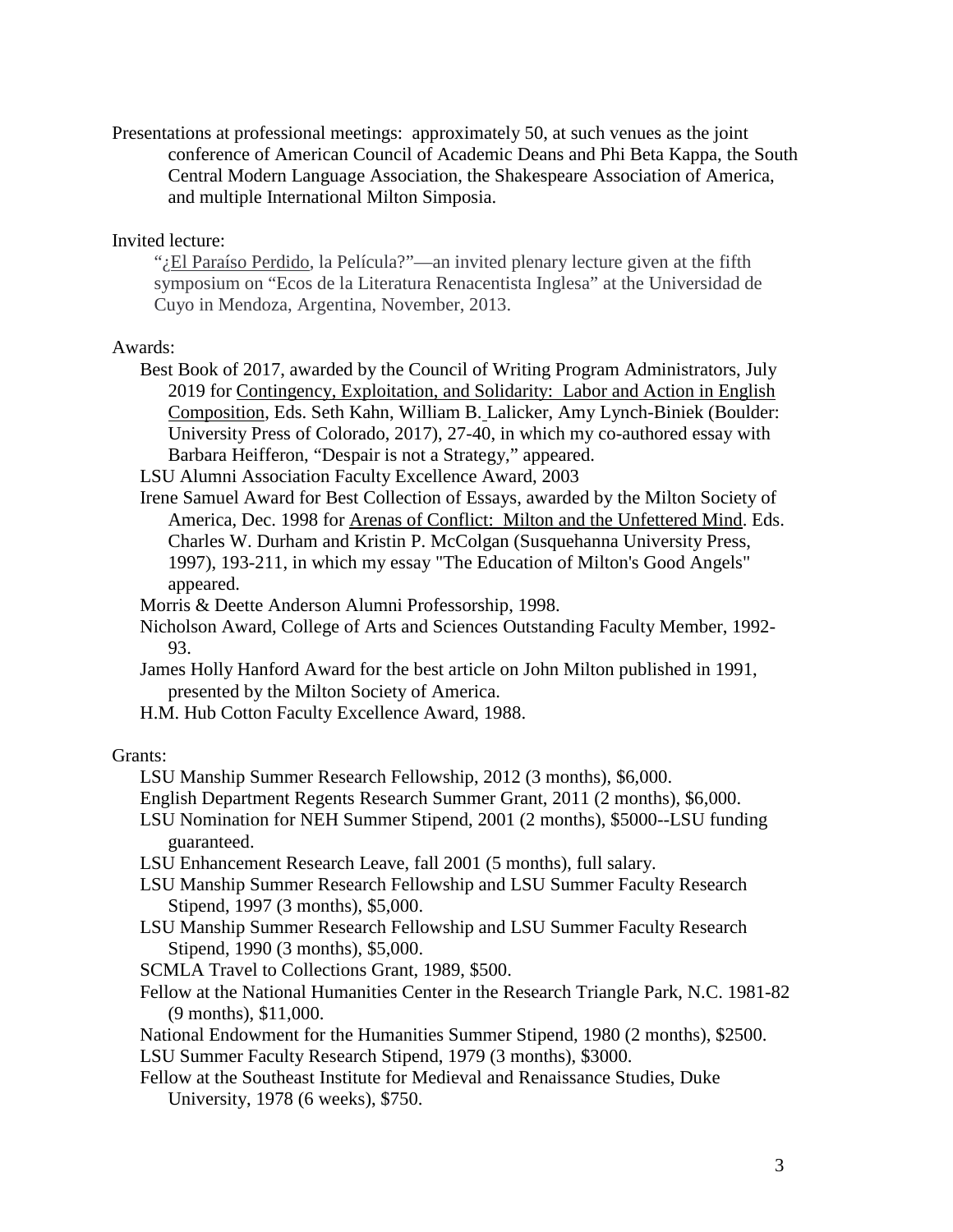Presentations at professional meetings: approximately 50, at such venues as the joint conference of American Council of Academic Deans and Phi Beta Kappa, the South Central Modern Language Association, the Shakespeare Association of America, and multiple International Milton Simposia.

Invited lecture:

": El Paraíso Perdido, la Película?"—an invited plenary lecture given at the fifth symposium on "Ecos de la Literatura Renacentista Inglesa" at the Universidad de Cuyo in Mendoza, Argentina, November, 2013.

## Awards:

Best Book of 2017, awarded by the Council of Writing Program Administrators, July 2019 for Contingency, Exploitation, and Solidarity: Labor and Action in English Composition, Eds. Seth Kahn, William B. Lalicker, Amy Lynch-Biniek (Boulder: University Press of Colorado, 2017), 27-40, in which my co-authored essay with Barbara Heifferon, "Despair is not a Strategy," appeared.

LSU Alumni Association Faculty Excellence Award, 2003

- Irene Samuel Award for Best Collection of Essays, awarded by the Milton Society of America, Dec. 1998 for Arenas of Conflict: Milton and the Unfettered Mind. Eds. Charles W. Durham and Kristin P. McColgan (Susquehanna University Press, 1997), 193-211, in which my essay "The Education of Milton's Good Angels" appeared.
- Morris & Deette Anderson Alumni Professorship, 1998.
- Nicholson Award, College of Arts and Sciences Outstanding Faculty Member, 1992- 93.
- James Holly Hanford Award for the best article on John Milton published in 1991, presented by the Milton Society of America.

H.M. Hub Cotton Faculty Excellence Award, 1988.

## Grants:

- LSU Manship Summer Research Fellowship, 2012 (3 months), \$6,000.
- English Department Regents Research Summer Grant, 2011 (2 months), \$6,000.
- LSU Nomination for NEH Summer Stipend, 2001 (2 months), \$5000--LSU funding guaranteed.

LSU Enhancement Research Leave, fall 2001 (5 months), full salary.

- LSU Manship Summer Research Fellowship and LSU Summer Faculty Research Stipend, 1997 (3 months), \$5,000.
- LSU Manship Summer Research Fellowship and LSU Summer Faculty Research Stipend, 1990 (3 months), \$5,000.

SCMLA Travel to Collections Grant, 1989, \$500.

Fellow at the National Humanities Center in the Research Triangle Park, N.C. 1981-82 (9 months), \$11,000.

National Endowment for the Humanities Summer Stipend, 1980 (2 months), \$2500. LSU Summer Faculty Research Stipend, 1979 (3 months), \$3000.

Fellow at the Southeast Institute for Medieval and Renaissance Studies, Duke University, 1978 (6 weeks), \$750.